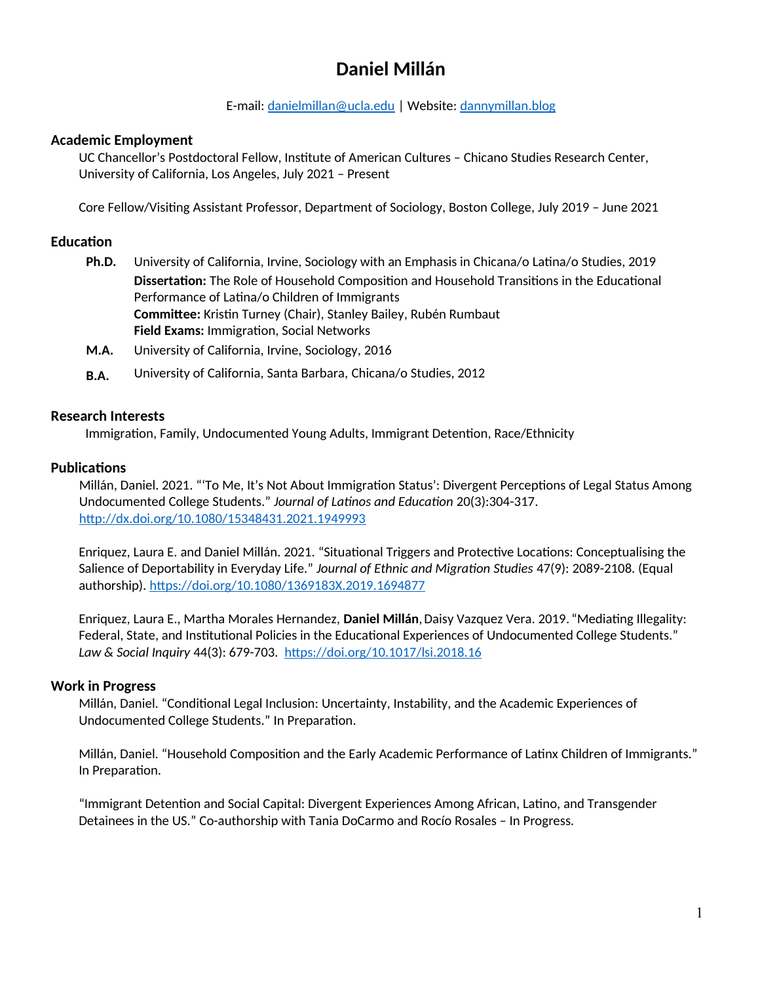# **Daniel Millán**

#### E-mail: [danielmillan@ucla.edu](mailto:danielmillan@ucla.edu) | Website: [dannymillan.blog](https://dannymillan.blog/)

# **Academic Employment**

UC Chancellor's Postdoctoral Fellow, Institute of American Cultures – Chicano Studies Research Center, University of California, Los Angeles, July 2021 – Present

Core Fellow/Visiting Assistant Professor, Department of Sociology, Boston College, July 2019 – June 2021

# **Education**

- **Ph.D.** University of California, Irvine, Sociology with an Emphasis in Chicana/o Latina/o Studies, 2019 **Dissertation:** The Role of Household Composition and Household Transitions in the Educational Performance of Latina/o Children of Immigrants **Committee:** Kristin Turney (Chair), Stanley Bailey, Rubén Rumbaut **Field Exams:** Immigration, Social Networks
- **M.A.** University of California, Irvine, Sociology, 2016
- **B.A.** University of California, Santa Barbara, Chicana/o Studies, 2012

#### **Research Interests**

Immigration, Family, Undocumented Young Adults, Immigrant Detention, Race/Ethnicity

#### **Publications**

Millán, Daniel. 2021. "'To Me, It's Not About Immigration Status': Divergent Perceptions of Legal Status Among Undocumented College Students." *Journal of Latinos and Education* 20(3):304-317. <http://dx.doi.org/10.1080/15348431.2021.1949993>

Enriquez, Laura E. and Daniel Millán. 2021. "Situational Triggers and Protective Locations: Conceptualising the Salience of Deportability in Everyday Life." *Journal of Ethnic and Migration Studies* 47(9): 2089-2108. (Equal authorship).<https://doi.org/10.1080/1369183X.2019.1694877>

Enriquez, Laura E., Martha Morales Hernandez, **Daniel Millán**,Daisy Vazquez Vera. 2019. "Mediating Illegality: Federal, State, and Institutional Policies in the Educational Experiences of Undocumented College Students." *Law & Social Inquiry* 44(3): 679-703.<https://doi.org/10.1017/lsi.2018.16>

#### **Work in Progress**

Millán, Daniel. "Conditional Legal Inclusion: Uncertainty, Instability, and the Academic Experiences of Undocumented College Students." In Preparation.

Millán, Daniel. "Household Composition and the Early Academic Performance of Latinx Children of Immigrants." In Preparation.

"Immigrant Detention and Social Capital: Divergent Experiences Among African, Latino, and Transgender Detainees in the US." Co-authorship with Tania DoCarmo and Rocío Rosales – In Progress.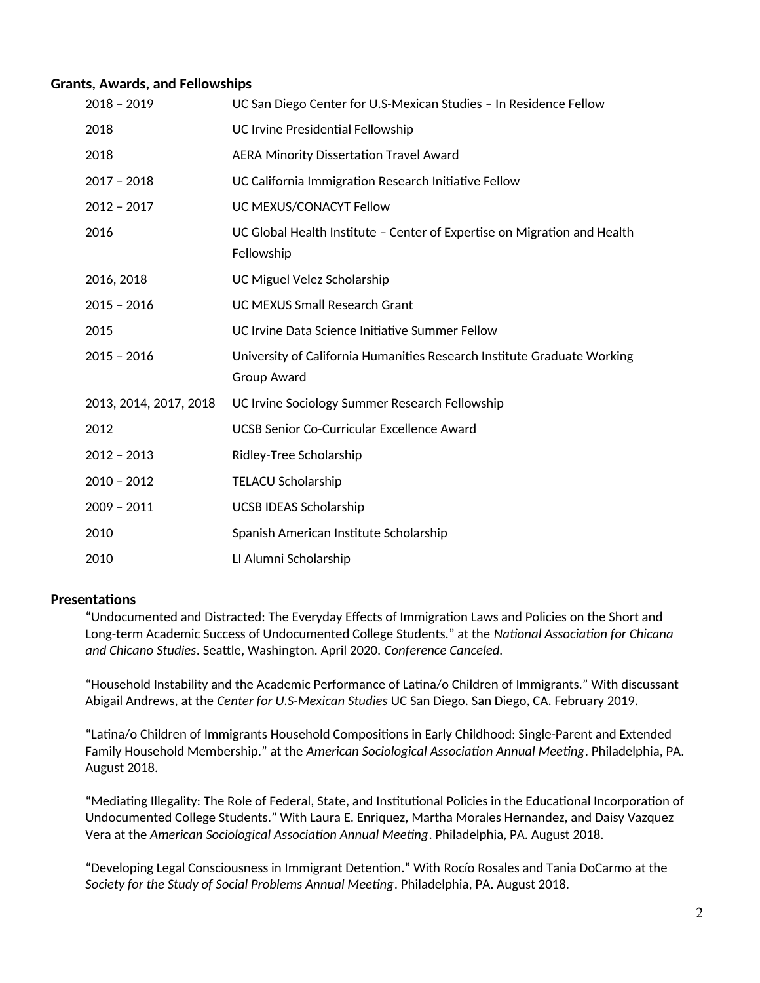#### **Grants, Awards, and Fellowships**

| $2018 - 2019$          | UC San Diego Center for U.S-Mexican Studies - In Residence Fellow                      |
|------------------------|----------------------------------------------------------------------------------------|
| 2018                   | <b>UC Irvine Presidential Fellowship</b>                                               |
| 2018                   | <b>AERA Minority Dissertation Travel Award</b>                                         |
| $2017 - 2018$          | UC California Immigration Research Initiative Fellow                                   |
| $2012 - 2017$          | UC MEXUS/CONACYT Fellow                                                                |
| 2016                   | UC Global Health Institute - Center of Expertise on Migration and Health<br>Fellowship |
| 2016, 2018             | UC Miguel Velez Scholarship                                                            |
| $2015 - 2016$          | <b>UC MEXUS Small Research Grant</b>                                                   |
| 2015                   | UC Irvine Data Science Initiative Summer Fellow                                        |
| $2015 - 2016$          | University of California Humanities Research Institute Graduate Working<br>Group Award |
| 2013, 2014, 2017, 2018 | UC Irvine Sociology Summer Research Fellowship                                         |
| 2012                   | UCSB Senior Co-Curricular Excellence Award                                             |
| $2012 - 2013$          | Ridley-Tree Scholarship                                                                |
| $2010 - 2012$          | <b>TELACU Scholarship</b>                                                              |
| $2009 - 2011$          | <b>UCSB IDEAS Scholarship</b>                                                          |
| 2010                   | Spanish American Institute Scholarship                                                 |
| 2010                   | LI Alumni Scholarship                                                                  |

#### **Presentations**

"Undocumented and Distracted: The Everyday Effects of Immigration Laws and Policies on the Short and Long-term Academic Success of Undocumented College Students." at the *National Association for Chicana and Chicano Studies*. Seattle, Washington. April 2020. *Conference Canceled.*

"Household Instability and the Academic Performance of Latina/o Children of Immigrants." With discussant Abigail Andrews, at the *Center for U.S-Mexican Studies* UC San Diego. San Diego, CA. February 2019.

"Latina/o Children of Immigrants Household Compositions in Early Childhood: Single-Parent and Extended Family Household Membership." at the *American Sociological Association Annual Meeting*. Philadelphia, PA. August 2018.

"Mediating Illegality: The Role of Federal, State, and Institutional Policies in the Educational Incorporation of Undocumented College Students." With Laura E. Enriquez, Martha Morales Hernandez, and Daisy Vazquez Vera at the *American Sociological Association Annual Meeting*. Philadelphia, PA. August 2018.

"Developing Legal Consciousness in Immigrant Detention." With Rocío Rosales and Tania DoCarmo at the *Society for the Study of Social Problems Annual Meeting*. Philadelphia, PA. August 2018.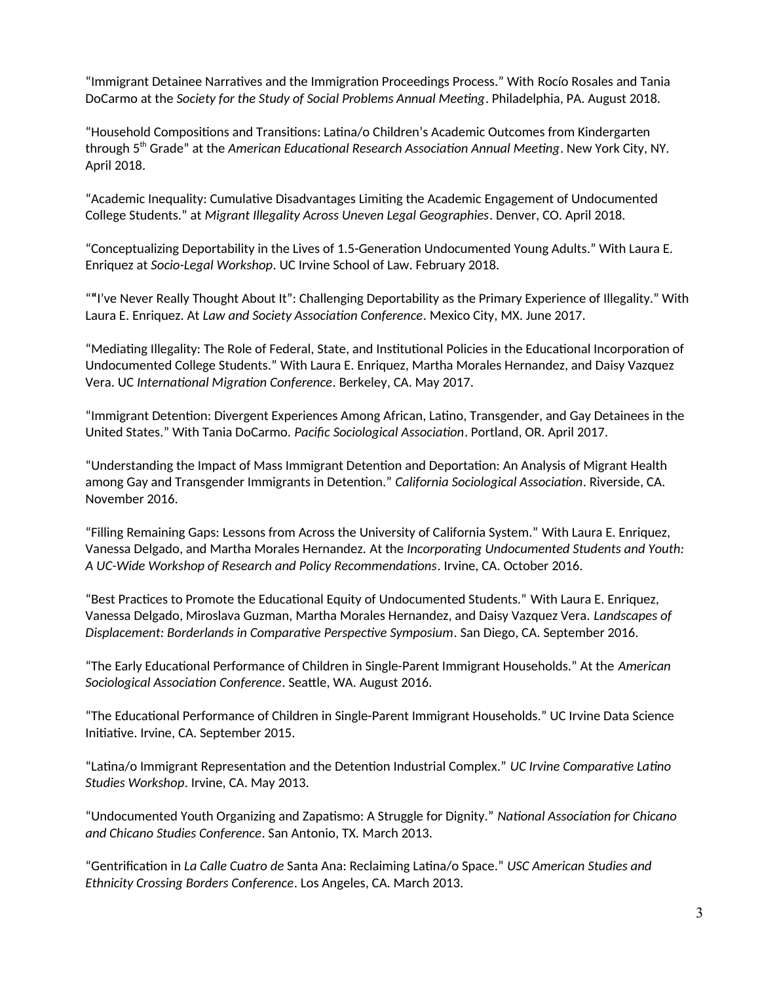"Immigrant Detainee Narratives and the Immigration Proceedings Process." With Rocío Rosales and Tania DoCarmo at the *Society for the Study of Social Problems Annual Meeting*. Philadelphia, PA. August 2018.

"Household Compositions and Transitions: Latina/o Children's Academic Outcomes from Kindergarten through 5th Grade" at the *American Educational Research Association Annual Meeting*. New York City, NY. April 2018.

"Academic Inequality: Cumulative Disadvantages Limiting the Academic Engagement of Undocumented College Students." at *Migrant Illegality Across Uneven Legal Geographies*. Denver, CO. April 2018.

"Conceptualizing Deportability in the Lives of 1.5-Generation Undocumented Young Adults." With Laura E. Enriquez at *Socio-Legal Workshop*. UC Irvine School of Law. February 2018.

"**"**I've Never Really Thought About It": Challenging Deportability as the Primary Experience of Illegality." With Laura E. Enriquez. At *Law and Society Association Conference*. Mexico City, MX. June 2017.

"Mediating Illegality: The Role of Federal, State, and Institutional Policies in the Educational Incorporation of Undocumented College Students." With Laura E. Enriquez, Martha Morales Hernandez, and Daisy Vazquez Vera. UC *International Migration Conference*. Berkeley, CA. May 2017.

"Immigrant Detention: Divergent Experiences Among African, Latino, Transgender, and Gay Detainees in the United States." With Tania DoCarmo. *Pacific Sociological Association*. Portland, OR. April 2017.

"Understanding the Impact of Mass Immigrant Detention and Deportation: An Analysis of Migrant Health among Gay and Transgender Immigrants in Detention." *California Sociological Association*. Riverside, CA. November 2016.

"Filling Remaining Gaps: Lessons from Across the University of California System." With Laura E. Enriquez, Vanessa Delgado, and Martha Morales Hernandez. At the *Incorporating Undocumented Students and Youth: A UC-Wide Workshop of Research and Policy Recommendations*. Irvine, CA. October 2016.

"Best Practices to Promote the Educational Equity of Undocumented Students." With Laura E. Enriquez, Vanessa Delgado, Miroslava Guzman, Martha Morales Hernandez, and Daisy Vazquez Vera. *Landscapes of Displacement: Borderlands in Comparative Perspective Symposium*. San Diego, CA. September 2016.

"The Early Educational Performance of Children in Single-Parent Immigrant Households." At the *American Sociological Association Conference*. Seattle, WA. August 2016.

"The Educational Performance of Children in Single-Parent Immigrant Households." UC Irvine Data Science Initiative. Irvine, CA. September 2015.

"Latina/o Immigrant Representation and the Detention Industrial Complex." *UC Irvine Comparative Latino Studies Workshop*. Irvine, CA. May 2013.

"Undocumented Youth Organizing and Zapatismo: A Struggle for Dignity." *National Association for Chicano and Chicano Studies Conference*. San Antonio, TX. March 2013.

"Gentrification in *La Calle Cuatro de* Santa Ana: Reclaiming Latina/o Space." *USC American Studies and Ethnicity Crossing Borders Conference*. Los Angeles, CA. March 2013.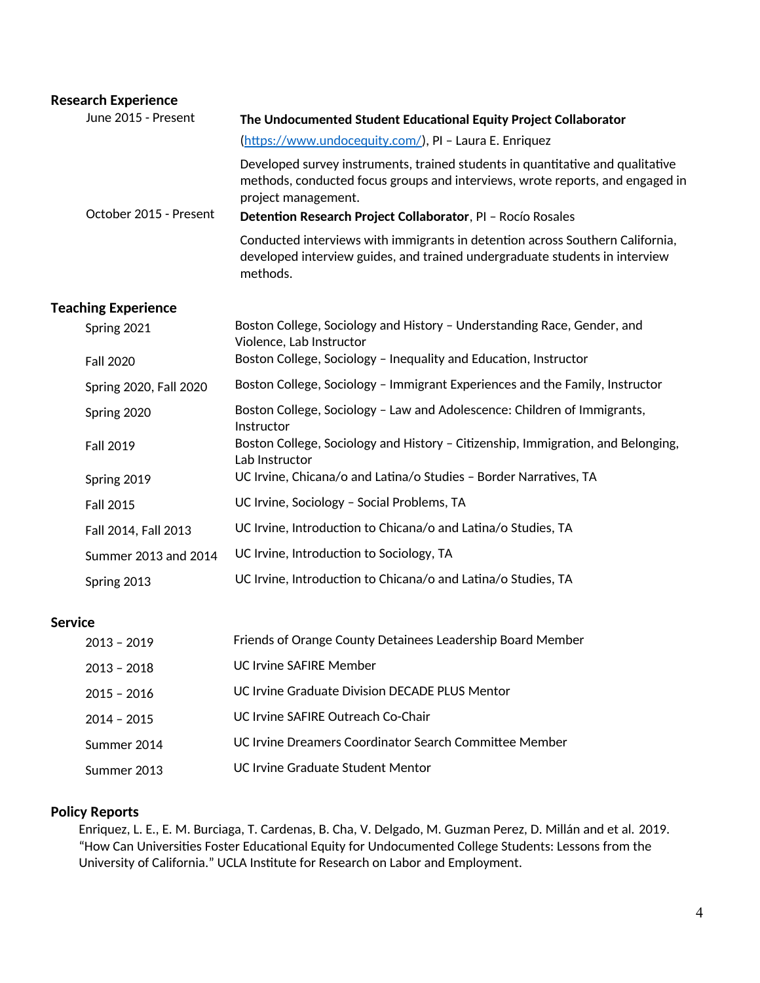| <b>Research Experience</b> |                                                                                                                                                                                                                                                       |
|----------------------------|-------------------------------------------------------------------------------------------------------------------------------------------------------------------------------------------------------------------------------------------------------|
| June 2015 - Present        | The Undocumented Student Educational Equity Project Collaborator                                                                                                                                                                                      |
| October 2015 - Present     | (https://www.undocequity.com/), PI - Laura E. Enriquez                                                                                                                                                                                                |
|                            | Developed survey instruments, trained students in quantitative and qualitative<br>methods, conducted focus groups and interviews, wrote reports, and engaged in<br>project management.<br>Detention Research Project Collaborator, PI - Rocío Rosales |
|                            | Conducted interviews with immigrants in detention across Southern California,<br>developed interview guides, and trained undergraduate students in interview<br>methods.                                                                              |
| <b>Teaching Experience</b> |                                                                                                                                                                                                                                                       |
| Spring 2021                | Boston College, Sociology and History - Understanding Race, Gender, and<br>Violence, Lab Instructor                                                                                                                                                   |
| <b>Fall 2020</b>           | Boston College, Sociology - Inequality and Education, Instructor                                                                                                                                                                                      |

| Spring 2020, Fall 2020 | Boston College, Sociology - Immigrant Experiences and the Family, Instructor                       |
|------------------------|----------------------------------------------------------------------------------------------------|
| Spring 2020            | Boston College, Sociology - Law and Adolescence: Children of Immigrants,<br>Instructor             |
| <b>Fall 2019</b>       | Boston College, Sociology and History - Citizenship, Immigration, and Belonging,<br>Lab Instructor |
| Spring 2019            | UC Irvine, Chicana/o and Latina/o Studies - Border Narratives, TA                                  |
| <b>Fall 2015</b>       | UC Irvine, Sociology - Social Problems, TA                                                         |
| Fall 2014, Fall 2013   | UC Irvine, Introduction to Chicana/o and Latina/o Studies, TA                                      |
| Summer 2013 and 2014   | UC Irvine, Introduction to Sociology, TA                                                           |
| Spring 2013            | UC Irvine, Introduction to Chicana/o and Latina/o Studies, TA                                      |

# **Service**

| $2013 - 2019$ | Friends of Orange County Detainees Leadership Board Member |
|---------------|------------------------------------------------------------|
| $2013 - 2018$ | UC Irvine SAFIRF Member                                    |
| $2015 - 2016$ | UC Irvine Graduate Division DECADE PLUS Mentor             |
| $2014 - 2015$ | UC Irvine SAFIRF Outreach Co-Chair                         |
| Summer 2014   | UC Irvine Dreamers Coordinator Search Committee Member     |
| Summer 2013   | UC Irvine Graduate Student Mentor                          |

# **Policy Reports**

Enriquez, L. E., E. M. Burciaga, T. Cardenas, B. Cha, V. Delgado, M. Guzman Perez, D. Millán and et al. 2019. "How Can Universities Foster Educational Equity for Undocumented College Students: Lessons from the University of California." UCLA Institute for Research on Labor and Employment.